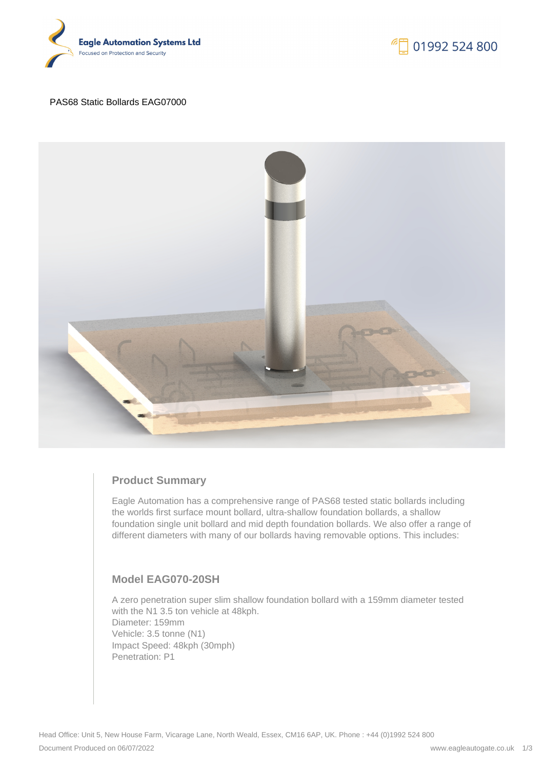



#### PAS68 Static Bollards EAG07000



## **Product Summary**

Eagle Automation has a comprehensive range of PAS68 tested static bollards including the worlds first surface mount bollard, ultra-shallow foundation bollards, a shallow foundation single unit bollard and mid depth foundation bollards. We also offer a range of different diameters with many of our bollards having removable options. This includes:

## **Model EAG070-20SH**

A zero penetration super slim shallow foundation bollard with a 159mm diameter tested with the N1 3.5 ton vehicle at 48kph. Diameter: 159mm Vehicle: 3.5 tonne (N1) Impact Speed: 48kph (30mph) Penetration: P1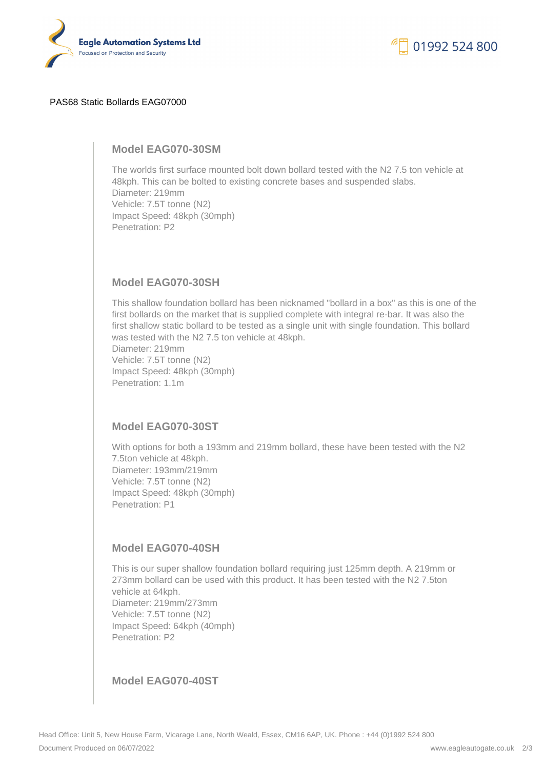



#### PAS68 Static Bollards EAG07000

### **Model EAG070-30SM**

The worlds first surface mounted bolt down bollard tested with the N2 7.5 ton vehicle at 48kph. This can be bolted to existing concrete bases and suspended slabs. Diameter: 219mm Vehicle: 7.5T tonne (N2) Impact Speed: 48kph (30mph) Penetration: P2

### **Model EAG070-30SH**

This shallow foundation bollard has been nicknamed "bollard in a box" as this is one of the first bollards on the market that is supplied complete with integral re-bar. It was also the first shallow static bollard to be tested as a single unit with single foundation. This bollard was tested with the N2 7.5 ton vehicle at 48kph.

Diameter: 219mm Vehicle: 7.5T tonne (N2) Impact Speed: 48kph (30mph) Penetration: 1.1m

### **Model EAG070-30ST**

With options for both a 193mm and 219mm bollard, these have been tested with the N2 7.5ton vehicle at 48kph. Diameter: 193mm/219mm Vehicle: 7.5T tonne (N2) Impact Speed: 48kph (30mph) Penetration: P1

### **Model EAG070-40SH**

This is our super shallow foundation bollard requiring just 125mm depth. A 219mm or 273mm bollard can be used with this product. It has been tested with the N2 7.5ton vehicle at 64kph. Diameter: 219mm/273mm Vehicle: 7.5T tonne (N2) Impact Speed: 64kph (40mph) Penetration: P2

## **Model EAG070-40ST**